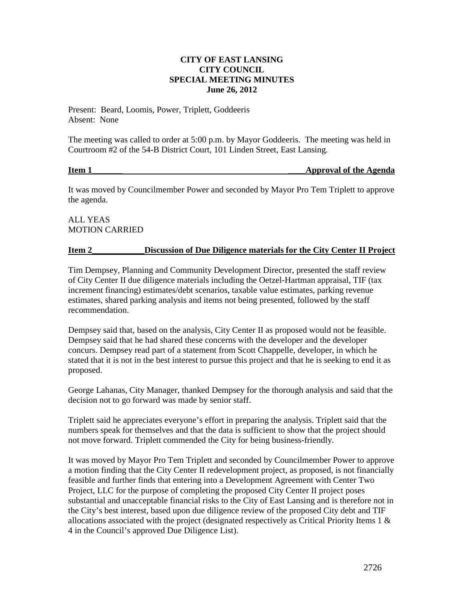### **CITY OF EAST LANSING CITY COUNCIL SPECIAL MEETING MINUTES June 26, 2012**

Present: Beard, Loomis, Power, Triplett, Goddeeris Absent: None

The meeting was called to order at 5:00 p.m. by Mayor Goddeeris. The meeting was held in Courtroom #2 of the 54-B District Court, 101 Linden Street, East Lansing.

**Item 1\_\_\_\_\_\_\_ \_\_\_\_Approval of the Agenda**

It was moved by Councilmember Power and seconded by Mayor Pro Tem Triplett to approve the agenda.

# ALL YEAS MOTION CARRIED

## **Item 2\_\_\_\_\_\_\_\_\_\_\_\_Discussion of Due Diligence materials for the City Center II Project**

Tim Dempsey, Planning and Community Development Director, presented the staff review of City Center II due diligence materials including the Oetzel-Hartman appraisal, TIF (tax increment financing) estimates/debt scenarios, taxable value estimates, parking revenue estimates, shared parking analysis and items not being presented, followed by the staff recommendation.

Dempsey said that, based on the analysis, City Center II as proposed would not be feasible. Dempsey said that he had shared these concerns with the developer and the developer concurs. Dempsey read part of a statement from Scott Chappelle, developer, in which he stated that it is not in the best interest to pursue this project and that he is seeking to end it as proposed.

George Lahanas, City Manager, thanked Dempsey for the thorough analysis and said that the decision not to go forward was made by senior staff.

Triplett said he appreciates everyone's effort in preparing the analysis. Triplett said that the numbers speak for themselves and that the data is sufficient to show that the project should not move forward. Triplett commended the City for being business-friendly.

It was moved by Mayor Pro Tem Triplett and seconded by Councilmember Power to approve a motion finding that the City Center II redevelopment project, as proposed, is not financially feasible and further finds that entering into a Development Agreement with Center Two Project, LLC for the purpose of completing the proposed City Center II project poses substantial and unacceptable financial risks to the City of East Lansing and is therefore not in the City's best interest, based upon due diligence review of the proposed City debt and TIF allocations associated with the project (designated respectively as Critical Priority Items 1 & 4 in the Council's approved Due Diligence List).